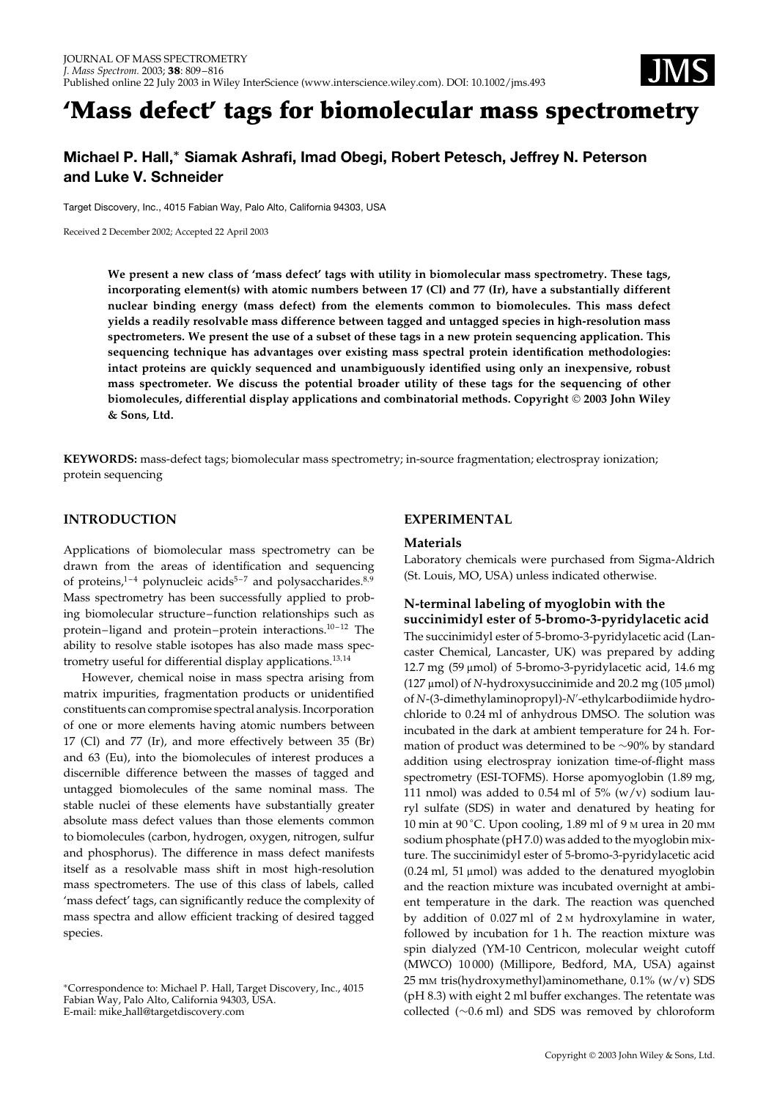

# **'Mass defect' tags for biomolecular mass spectrometry**

# **Michael P. Hall,***∗* **Siamak Ashrafi, Imad Obegi, Robert Petesch, Jeffrey N. Peterson and Luke V. Schneider**

Target Discovery, Inc., 4015 Fabian Way, Palo Alto, California 94303, USA

Received 2 December 2002; Accepted 22 April 2003

**We present a new class of 'mass defect' tags with utility in biomolecular mass spectrometry. These tags, incorporating element(s) with atomic numbers between 17 (Cl) and 77 (Ir), have a substantially different nuclear binding energy (mass defect) from the elements common to biomolecules. This mass defect yields a readily resolvable mass difference between tagged and untagged species in high-resolution mass spectrometers. We present the use of a subset of these tags in a new protein sequencing application. This sequencing technique has advantages over existing mass spectral protein identification methodologies: intact proteins are quickly sequenced and unambiguously identified using only an inexpensive, robust mass spectrometer. We discuss the potential broader utility of these tags for the sequencing of other biomolecules, differential display applications and combinatorial methods. Copyright 2003 John Wiley & Sons, Ltd.**

**KEYWORDS:** mass-defect tags; biomolecular mass spectrometry; in-source fragmentation; electrospray ionization; protein sequencing

#### **INTRODUCTION**

Applications of biomolecular mass spectrometry can be drawn from the areas of identification and sequencing of proteins, $1-4$  polynucleic acids $5-7$  and polysaccharides. $8,9$ Mass spectrometry has been successfully applied to probing biomolecular structure–function relationships such as protein–ligand and protein–protein interactions. $10-12$  The ability to resolve stable isotopes has also made mass spectrometry useful for differential display applications.<sup>13,14</sup>

However, chemical noise in mass spectra arising from matrix impurities, fragmentation products or unidentified constituents can compromise spectral analysis. Incorporation of one or more elements having atomic numbers between 17 (Cl) and 77 (Ir), and more effectively between 35 (Br) and 63 (Eu), into the biomolecules of interest produces a discernible difference between the masses of tagged and untagged biomolecules of the same nominal mass. The stable nuclei of these elements have substantially greater absolute mass defect values than those elements common to biomolecules (carbon, hydrogen, oxygen, nitrogen, sulfur and phosphorus). The difference in mass defect manifests itself as a resolvable mass shift in most high-resolution mass spectrometers. The use of this class of labels, called 'mass defect' tags, can significantly reduce the complexity of mass spectra and allow efficient tracking of desired tagged species.

E-mail: mike hall@targetdiscovery.com

#### **EXPERIMENTAL**

#### **Materials**

Laboratory chemicals were purchased from Sigma-Aldrich (St. Louis, MO, USA) unless indicated otherwise.

## **N-terminal labeling of myoglobin with the succinimidyl ester of 5-bromo-3-pyridylacetic acid**

The succinimidyl ester of 5-bromo-3-pyridylacetic acid (Lancaster Chemical, Lancaster, UK) was prepared by adding 12.7 mg (59 µmol) of 5-bromo-3-pyridylacetic acid, 14.6 mg (127 µmol) of *N*-hydroxysuccinimide and 20.2 mg (105 µmol) of *N*-(3-dimethylaminopropyl)-*N'*-ethylcarbodiimide hydrochloride to 0.24 ml of anhydrous DMSO. The solution was incubated in the dark at ambient temperature for 24 h. Formation of product was determined to be  $\sim$ 90% by standard addition using electrospray ionization time-of-flight mass spectrometry (ESI-TOFMS). Horse apomyoglobin (1.89 mg, 111 nmol) was added to 0.54 ml of 5% (w/v) sodium lauryl sulfate (SDS) in water and denatured by heating for 10 min at 90 °C. Upon cooling, 1.89 ml of 9 M urea in 20 mM sodium phosphate (pH 7.0) was added to the myoglobin mixture. The succinimidyl ester of 5-bromo-3-pyridylacetic acid  $(0.24 \text{ ml}, 51 \text{ µmol})$  was added to the denatured myoglobin and the reaction mixture was incubated overnight at ambient temperature in the dark. The reaction was quenched by addition of 0.027 ml of 2 M hydroxylamine in water, followed by incubation for 1 h. The reaction mixture was spin dialyzed (YM-10 Centricon, molecular weight cutoff (MWCO) 10 000) (Millipore, Bedford, MA, USA) against 25 mM tris(hydroxymethyl)aminomethane, 0.1% (w/v) SDS (pH 8.3) with eight 2 ml buffer exchanges. The retentate was collected  $(\sim 0.6$  ml) and SDS was removed by chloroform

<sup>Ł</sup>Correspondence to: Michael P. Hall, Target Discovery, Inc., 4015 Fabian Way, Palo Alto, California 94303, USA.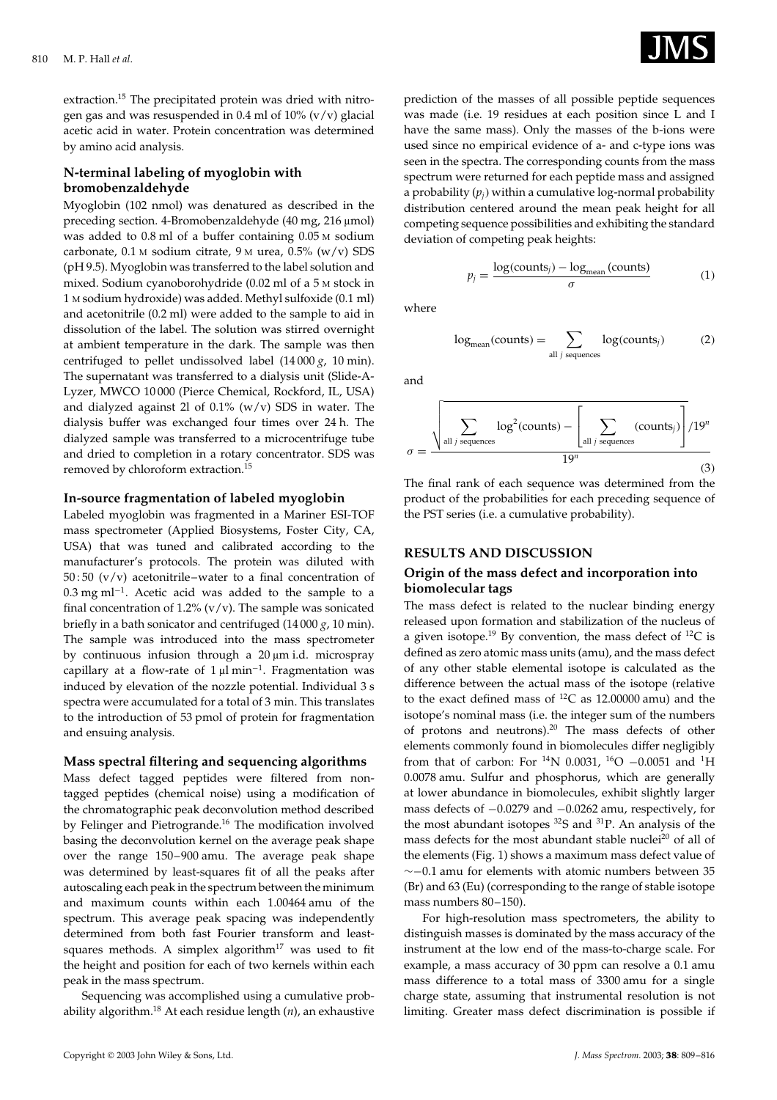

extraction.<sup>15</sup> The precipitated protein was dried with nitrogen gas and was resuspended in  $0.4$  ml of  $10\%$  (v/v) glacial acetic acid in water. Protein concentration was determined by amino acid analysis.

#### **N-terminal labeling of myoglobin with bromobenzaldehyde**

Myoglobin (102 nmol) was denatured as described in the preceding section. 4-Bromobenzaldehyde (40 mg, 216 µmol) was added to 0.8 ml of a buffer containing 0.05 M sodium carbonate, 0.1 M sodium citrate, 9 M urea, 0.5% (w/v) SDS (pH 9.5). Myoglobin was transferred to the label solution and mixed. Sodium cyanoborohydride (0.02 ml of a 5 M stock in 1 M sodium hydroxide) was added. Methyl sulfoxide (0.1 ml) and acetonitrile (0.2 ml) were added to the sample to aid in dissolution of the label. The solution was stirred overnight at ambient temperature in the dark. The sample was then centrifuged to pellet undissolved label (14 000 *g*, 10 min). The supernatant was transferred to a dialysis unit (Slide-A-Lyzer, MWCO 10 000 (Pierce Chemical, Rockford, IL, USA) and dialyzed against 2l of  $0.1\%$  (w/v) SDS in water. The dialysis buffer was exchanged four times over 24 h. The dialyzed sample was transferred to a microcentrifuge tube and dried to completion in a rotary concentrator. SDS was removed by chloroform extraction.15

#### **In-source fragmentation of labeled myoglobin**

Labeled myoglobin was fragmented in a Mariner ESI-TOF mass spectrometer (Applied Biosystems, Foster City, CA, USA) that was tuned and calibrated according to the manufacturer's protocols. The protein was diluted with  $50:50$  (v/v) acetonitrile–water to a final concentration of  $0.3$  mg ml<sup>-1</sup>. Acetic acid was added to the sample to a final concentration of 1.2%  $(v/v)$ . The sample was sonicated briefly in a bath sonicator and centrifuged (14 000 *g*, 10 min). The sample was introduced into the mass spectrometer by continuous infusion through a  $20 \mu m$  i.d. microspray capillary at a flow-rate of  $1 \mu l \text{ min}^{-1}$ . Fragmentation was induced by elevation of the nozzle potential. Individual 3 s spectra were accumulated for a total of 3 min. This translates to the introduction of 53 pmol of protein for fragmentation and ensuing analysis.

#### **Mass spectral filtering and sequencing algorithms**

Mass defect tagged peptides were filtered from nontagged peptides (chemical noise) using a modification of the chromatographic peak deconvolution method described by Felinger and Pietrogrande.<sup>16</sup> The modification involved basing the deconvolution kernel on the average peak shape over the range 150–900 amu. The average peak shape was determined by least-squares fit of all the peaks after autoscaling each peak in the spectrum between the minimum and maximum counts within each 1.00464 amu of the spectrum. This average peak spacing was independently determined from both fast Fourier transform and leastsquares methods. A simplex algorithm $17$  was used to fit the height and position for each of two kernels within each peak in the mass spectrum.

Sequencing was accomplished using a cumulative probability algorithm.18 At each residue length (*n*), an exhaustive prediction of the masses of all possible peptide sequences was made (i.e. 19 residues at each position since L and I have the same mass). Only the masses of the b-ions were used since no empirical evidence of a- and c-type ions was seen in the spectra. The corresponding counts from the mass spectrum were returned for each peptide mass and assigned a probability  $(p_i)$  within a cumulative log-normal probability distribution centered around the mean peak height for all competing sequence possibilities and exhibiting the standard deviation of competing peak heights:

$$
p_j = \frac{\log(\text{counts}_j) - \log_{\text{mean}}(\text{counts})}{\sigma} \tag{1}
$$

where

 $\log_{mean}(counts) = \sum$ all *j* sequences  $log$ (counts<sub>*j*</sub>) (  $(2)$ 

and

$$
\sigma = \frac{\sqrt{\sum_{\text{all } j \text{ sequences}} \log^2(\text{counts}) - \left[\sum_{\text{all } j \text{ sequences}} (\text{counts}_j)\right] / 19^n}}{19^n}
$$
(3)

The final rank of each sequence was determined from the product of the probabilities for each preceding sequence of the PST series (i.e. a cumulative probability).

#### **RESULTS AND DISCUSSION**

#### **Origin of the mass defect and incorporation into biomolecular tags**

The mass defect is related to the nuclear binding energy released upon formation and stabilization of the nucleus of a given isotope.<sup>19</sup> By convention, the mass defect of <sup>12</sup>C is defined as zero atomic mass units (amu), and the mass defect of any other stable elemental isotope is calculated as the difference between the actual mass of the isotope (relative to the exact defined mass of  $^{12}C$  as 12.00000 amu) and the isotope's nominal mass (i.e. the integer sum of the numbers of protons and neutrons). $20$  The mass defects of other elements commonly found in biomolecules differ negligibly from that of carbon: For  $^{14}N$  0.0031,  $^{16}O$  -0.0051 and  $^{1}H$ 0.0078 amu. Sulfur and phosphorus, which are generally at lower abundance in biomolecules, exhibit slightly larger mass defects of  $-0.0279$  and  $-0.0262$  amu, respectively, for the most abundant isotopes <sup>32</sup>S and <sup>31</sup>P. An analysis of the mass defects for the most abundant stable nuclei<sup>20</sup> of all of the elements (Fig. 1) shows a maximum mass defect value of  $\sim$  -0.1 amu for elements with atomic numbers between 35 (Br) and 63 (Eu) (corresponding to the range of stable isotope mass numbers 80–150).

For high-resolution mass spectrometers, the ability to distinguish masses is dominated by the mass accuracy of the instrument at the low end of the mass-to-charge scale. For example, a mass accuracy of 30 ppm can resolve a 0.1 amu mass difference to a total mass of 3300 amu for a single charge state, assuming that instrumental resolution is not limiting. Greater mass defect discrimination is possible if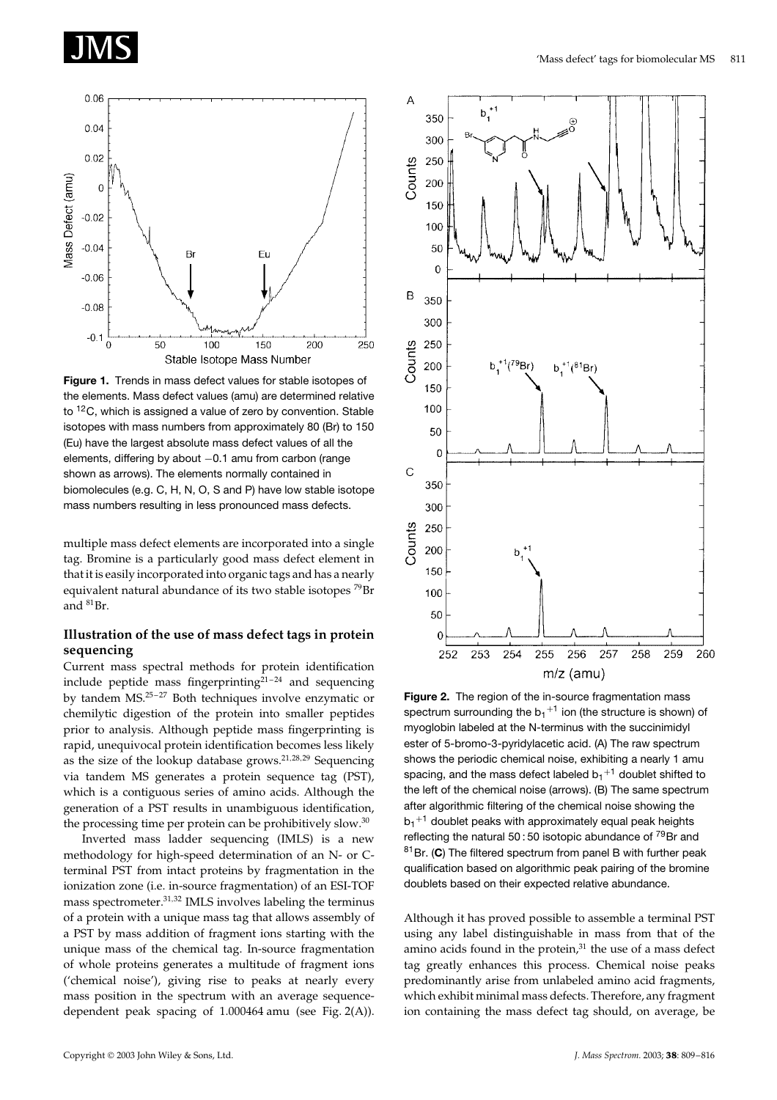



**Figure 1.** Trends in mass defect values for stable isotopes of the elements. Mass defect values (amu) are determined relative to <sup>12</sup>C, which is assigned a value of zero by convention. Stable isotopes with mass numbers from approximately 80 (Br) to 150 (Eu) have the largest absolute mass defect values of all the elements, differing by about  $-0.1$  amu from carbon (range shown as arrows). The elements normally contained in biomolecules (e.g. C, H, N, O, S and P) have low stable isotope mass numbers resulting in less pronounced mass defects.

multiple mass defect elements are incorporated into a single tag. Bromine is a particularly good mass defect element in that it is easily incorporated into organic tags and has a nearly equivalent natural abundance of its two stable isotopes<sup>79</sup>Br and 81Br.

#### **Illustration of the use of mass defect tags in protein sequencing**

Current mass spectral methods for protein identification include peptide mass fingerprinting $21 - 24$  and sequencing by tandem MS.<sup>25-27</sup> Both techniques involve enzymatic or chemilytic digestion of the protein into smaller peptides prior to analysis. Although peptide mass fingerprinting is rapid, unequivocal protein identification becomes less likely as the size of the lookup database grows.21,28,<sup>29</sup> Sequencing via tandem MS generates a protein sequence tag (PST), which is a contiguous series of amino acids. Although the generation of a PST results in unambiguous identification, the processing time per protein can be prohibitively slow.<sup>30</sup>

Inverted mass ladder sequencing (IMLS) is a new methodology for high-speed determination of an N- or Cterminal PST from intact proteins by fragmentation in the ionization zone (i.e. in-source fragmentation) of an ESI-TOF mass spectrometer.31,<sup>32</sup> IMLS involves labeling the terminus of a protein with a unique mass tag that allows assembly of a PST by mass addition of fragment ions starting with the unique mass of the chemical tag. In-source fragmentation of whole proteins generates a multitude of fragment ions ('chemical noise'), giving rise to peaks at nearly every mass position in the spectrum with an average sequencedependent peak spacing of 1.000464 amu (see Fig. 2(A)).



**Figure 2.** The region of the in-source fragmentation mass spectrum surrounding the b $_1^{+1}$  ion (the structure is shown) of myoglobin labeled at the N-terminus with the succinimidyl ester of 5-bromo-3-pyridylacetic acid. (A) The raw spectrum shows the periodic chemical noise, exhibiting a nearly 1 amu spacing, and the mass defect labeled b $_1^{+1}$  doublet shifted to the left of the chemical noise (arrows). (B) The same spectrum after algorithmic filtering of the chemical noise showing the  $b_1$ <sup>+1</sup> doublet peaks with approximately equal peak heights reflecting the natural 50:50 isotopic abundance of  $^{79}$ Br and 81Br. (**C**) The filtered spectrum from panel B with further peak qualification based on algorithmic peak pairing of the bromine doublets based on their expected relative abundance.

Although it has proved possible to assemble a terminal PST using any label distinguishable in mass from that of the amino acids found in the protein, $31$  the use of a mass defect tag greatly enhances this process. Chemical noise peaks predominantly arise from unlabeled amino acid fragments, which exhibit minimal mass defects. Therefore, any fragment ion containing the mass defect tag should, on average, be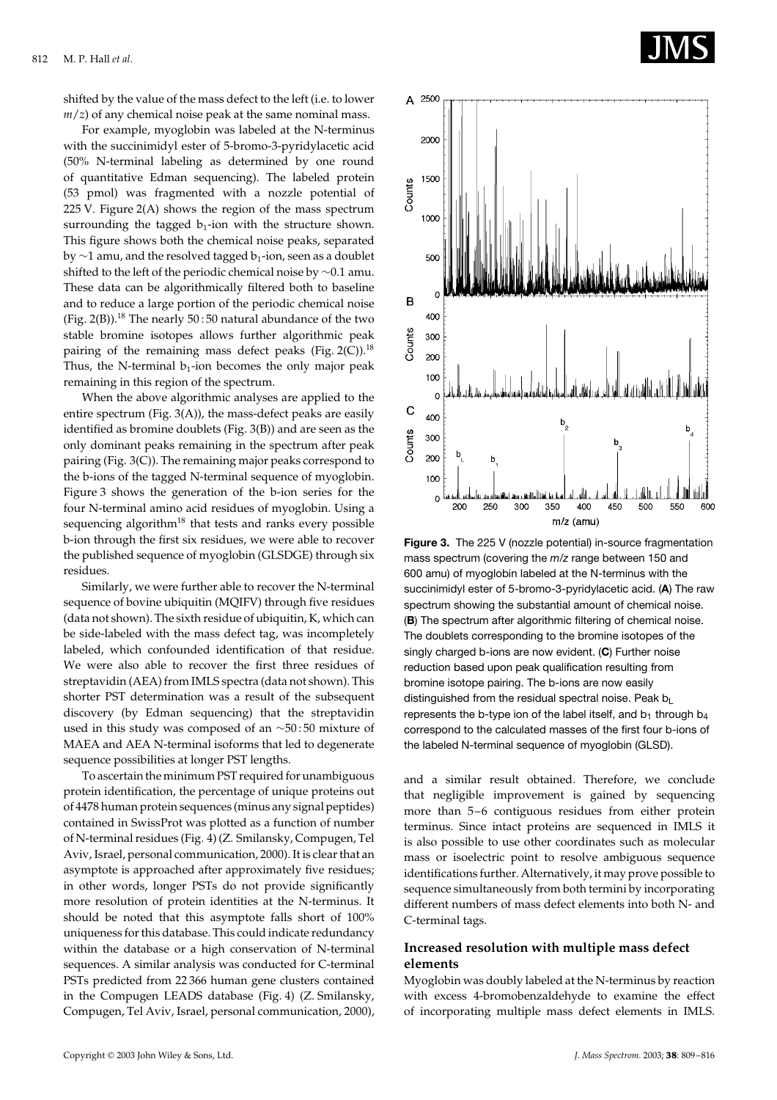shifted by the value of the mass defect to the left (i.e. to lower *m*/*z*) of any chemical noise peak at the same nominal mass.

For example, myoglobin was labeled at the N-terminus with the succinimidyl ester of 5-bromo-3-pyridylacetic acid (50% N-terminal labeling as determined by one round of quantitative Edman sequencing). The labeled protein (53 pmol) was fragmented with a nozzle potential of 225 V. Figure 2(A) shows the region of the mass spectrum surrounding the tagged  $b_1$ -ion with the structure shown. This figure shows both the chemical noise peaks, separated by  $\sim$ 1 amu, and the resolved tagged b<sub>1</sub>-ion, seen as a doublet shifted to the left of the periodic chemical noise by  $\sim$  0.1 amu. These data can be algorithmically filtered both to baseline and to reduce a large portion of the periodic chemical noise (Fig. 2(B)).<sup>18</sup> The nearly 50:50 natural abundance of the two stable bromine isotopes allows further algorithmic peak pairing of the remaining mass defect peaks (Fig. 2(C)).<sup>18</sup> Thus, the N-terminal  $b_1$ -ion becomes the only major peak remaining in this region of the spectrum.

When the above algorithmic analyses are applied to the entire spectrum (Fig. 3(A)), the mass-defect peaks are easily identified as bromine doublets (Fig. 3(B)) and are seen as the only dominant peaks remaining in the spectrum after peak pairing (Fig. 3(C)). The remaining major peaks correspond to the b-ions of the tagged N-terminal sequence of myoglobin. Figure 3 shows the generation of the b-ion series for the four N-terminal amino acid residues of myoglobin. Using a sequencing algorithm<sup>18</sup> that tests and ranks every possible b-ion through the first six residues, we were able to recover the published sequence of myoglobin (GLSDGE) through six residues.

Similarly, we were further able to recover the N-terminal sequence of bovine ubiquitin (MQIFV) through five residues (data not shown). The sixth residue of ubiquitin, K, which can be side-labeled with the mass defect tag, was incompletely labeled, which confounded identification of that residue. We were also able to recover the first three residues of streptavidin (AEA) from IMLS spectra (data not shown). This shorter PST determination was a result of the subsequent discovery (by Edman sequencing) that the streptavidin used in this study was composed of an  $\sim$ 50:50 mixture of MAEA and AEA N-terminal isoforms that led to degenerate sequence possibilities at longer PST lengths.

To ascertain the minimum PST required for unambiguous protein identification, the percentage of unique proteins out of 4478 human protein sequences (minus any signal peptides) contained in SwissProt was plotted as a function of number of N-terminal residues (Fig. 4) (Z. Smilansky, Compugen, Tel Aviv, Israel, personal communication, 2000). It is clear that an asymptote is approached after approximately five residues; in other words, longer PSTs do not provide significantly more resolution of protein identities at the N-terminus. It should be noted that this asymptote falls short of 100% uniqueness for this database. This could indicate redundancy within the database or a high conservation of N-terminal sequences. A similar analysis was conducted for C-terminal PSTs predicted from 22 366 human gene clusters contained in the Compugen LEADS database (Fig. 4) (Z. Smilansky, Compugen, Tel Aviv, Israel, personal communication, 2000),





**Figure 3.** The 225 V (nozzle potential) in-source fragmentation mass spectrum (covering the *m*/*z* range between 150 and 600 amu) of myoglobin labeled at the N-terminus with the succinimidyl ester of 5-bromo-3-pyridylacetic acid. (**A**) The raw spectrum showing the substantial amount of chemical noise. (**B**) The spectrum after algorithmic filtering of chemical noise. The doublets corresponding to the bromine isotopes of the singly charged b-ions are now evident. (**C**) Further noise reduction based upon peak qualification resulting from bromine isotope pairing. The b-ions are now easily distinguished from the residual spectral noise. Peak b<sub>L</sub> represents the b-type ion of the label itself, and  $b_1$  through  $b_4$ correspond to the calculated masses of the first four b-ions of the labeled N-terminal sequence of myoglobin (GLSD).

and a similar result obtained. Therefore, we conclude that negligible improvement is gained by sequencing more than 5–6 contiguous residues from either protein terminus. Since intact proteins are sequenced in IMLS it is also possible to use other coordinates such as molecular mass or isoelectric point to resolve ambiguous sequence identifications further. Alternatively, it may prove possible to sequence simultaneously from both termini by incorporating different numbers of mass defect elements into both N- and C-terminal tags.

#### **Increased resolution with multiple mass defect elements**

Myoglobin was doubly labeled at the N-terminus by reaction with excess 4-bromobenzaldehyde to examine the effect of incorporating multiple mass defect elements in IMLS.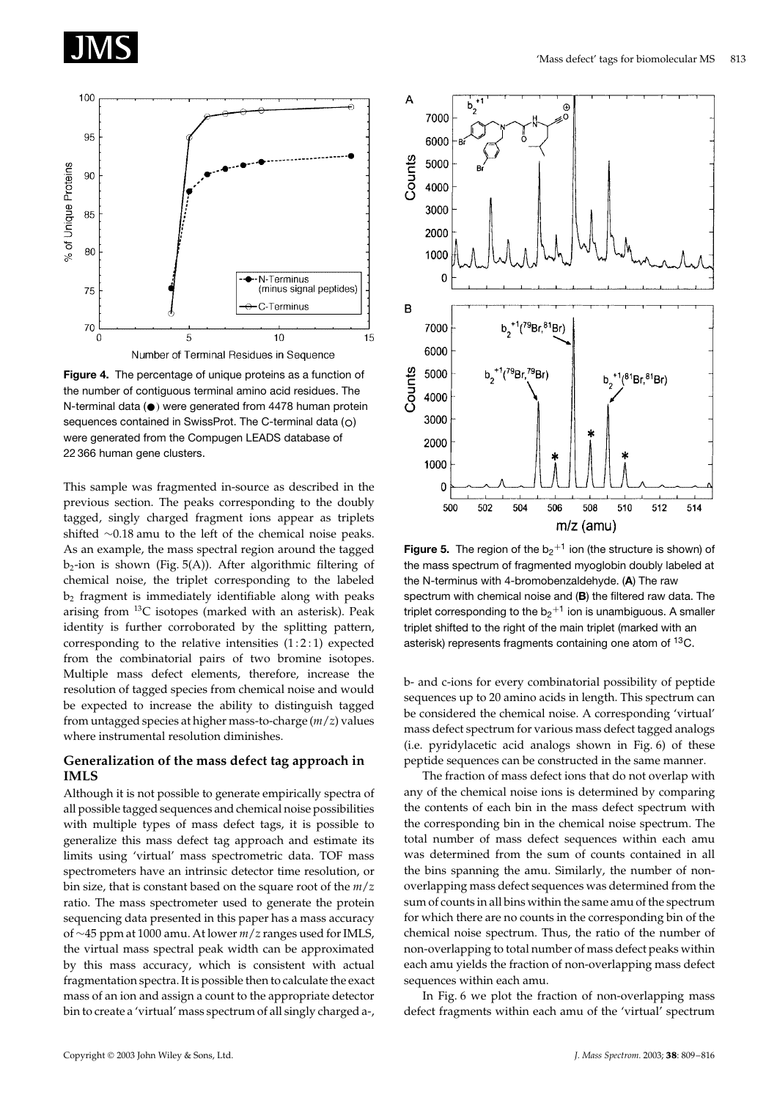



**Figure 4.** The percentage of unique proteins as a function of the number of contiguous terminal amino acid residues. The N-terminal data  $(\bullet)$  were generated from 4478 human protein sequences contained in SwissProt. The C-terminal data (O)<br>were generated from the Compugen LEADS database of were generated from the Compugen LEADS database of 22 366 human gene clusters.

This sample was fragmented in-source as described in the previous section. The peaks corresponding to the doubly tagged, singly charged fragment ions appear as triplets shifted  $\sim$ 0.18 amu to the left of the chemical noise peaks. As an example, the mass spectral region around the tagged  $b_2$ -ion is shown (Fig. 5(A)). After algorithmic filtering of chemical noise, the triplet corresponding to the labeled  $b_2$  fragment is immediately identifiable along with peaks arising from 13C isotopes (marked with an asterisk). Peak identity is further corroborated by the splitting pattern, corresponding to the relative intensities  $(1:2:1)$  expected from the combinatorial pairs of two bromine isotopes. Multiple mass defect elements, therefore, increase the resolution of tagged species from chemical noise and would be expected to increase the ability to distinguish tagged from untagged species at higher mass-to-charge (*m*/*z*) values where instrumental resolution diminishes.

#### **Generalization of the mass defect tag approach in IMLS**

Although it is not possible to generate empirically spectra of all possible tagged sequences and chemical noise possibilities with multiple types of mass defect tags, it is possible to generalize this mass defect tag approach and estimate its limits using 'virtual' mass spectrometric data. TOF mass spectrometers have an intrinsic detector time resolution, or bin size, that is constant based on the square root of the *m*/*z* ratio. The mass spectrometer used to generate the protein sequencing data presented in this paper has a mass accuracy of  $\sim$ 45 ppm at 1000 amu. At lower  $m/z$  ranges used for IMLS, the virtual mass spectral peak width can be approximated by this mass accuracy, which is consistent with actual fragmentation spectra. It is possible then to calculate the exact mass of an ion and assign a count to the appropriate detector bin to create a 'virtual' mass spectrum of all singly charged a-,



**Figure 5.** The region of the  $b_2+1$  ion (the structure is shown) of the mass spectrum of fragmented myoglobin doubly labeled at the N-terminus with 4-bromobenzaldehyde. (**A**) The raw spectrum with chemical noise and (**B**) the filtered raw data. The triplet corresponding to the b $_2+^1$  ion is unambiguous. A smaller triplet shifted to the right of the main triplet (marked with an asterisk) represents fragments containing one atom of <sup>13</sup>C.

b- and c-ions for every combinatorial possibility of peptide sequences up to 20 amino acids in length. This spectrum can be considered the chemical noise. A corresponding 'virtual' mass defect spectrum for various mass defect tagged analogs (i.e. pyridylacetic acid analogs shown in Fig. 6) of these peptide sequences can be constructed in the same manner.

The fraction of mass defect ions that do not overlap with any of the chemical noise ions is determined by comparing the contents of each bin in the mass defect spectrum with the corresponding bin in the chemical noise spectrum. The total number of mass defect sequences within each amu was determined from the sum of counts contained in all the bins spanning the amu. Similarly, the number of nonoverlapping mass defect sequences was determined from the sum of counts in all bins within the same amu of the spectrum for which there are no counts in the corresponding bin of the chemical noise spectrum. Thus, the ratio of the number of non-overlapping to total number of mass defect peaks within each amu yields the fraction of non-overlapping mass defect sequences within each amu.

In Fig. 6 we plot the fraction of non-overlapping mass defect fragments within each amu of the 'virtual' spectrum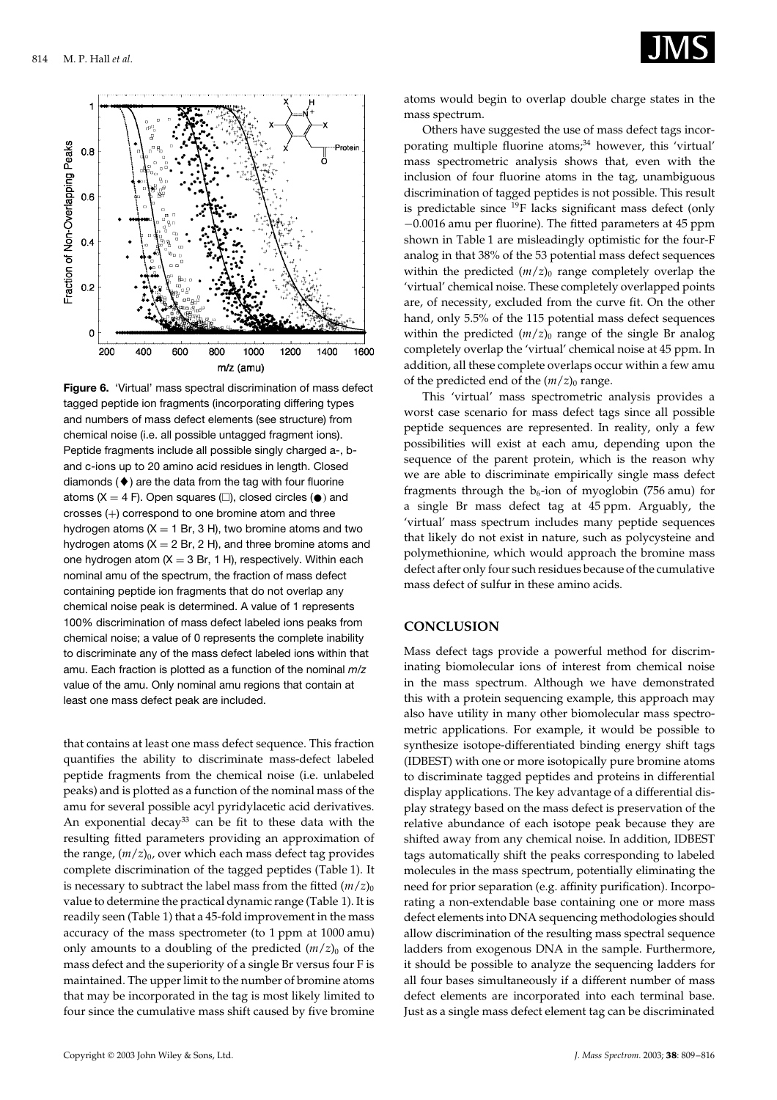

**Figure 6.** 'Virtual' mass spectral discrimination of mass defect tagged peptide ion fragments (incorporating differing types and numbers of mass defect elements (see structure) from chemical noise (i.e. all possible untagged fragment ions). Peptide fragments include all possible singly charged a-, band c-ions up to 20 amino acid residues in length. Closed diamonds  $($   $\blacklozenge$   $)$  are the data from the tag with four fluorine atoms (X = 4 F). Open squares ( $\square$ ), closed circles ( $\bullet$ ) and crosses  $(+)$  correspond to one bromine atom and three hydrogen atoms  $(X = 1 Br, 3 H)$ , two bromine atoms and two hydrogen atoms  $(X = 2 Br, 2 H)$ , and three bromine atoms and one hydrogen atom  $(X = 3 \text{ Br}, 1 \text{ H})$ , respectively. Within each nominal amu of the spectrum, the fraction of mass defect containing peptide ion fragments that do not overlap any chemical noise peak is determined. A value of 1 represents 100% discrimination of mass defect labeled ions peaks from chemical noise; a value of 0 represents the complete inability to discriminate any of the mass defect labeled ions within that amu. Each fraction is plotted as a function of the nominal *m*/*z* value of the amu. Only nominal amu regions that contain at least one mass defect peak are included.

that contains at least one mass defect sequence. This fraction quantifies the ability to discriminate mass-defect labeled peptide fragments from the chemical noise (i.e. unlabeled peaks) and is plotted as a function of the nominal mass of the amu for several possible acyl pyridylacetic acid derivatives. An exponential decay<sup>33</sup> can be fit to these data with the resulting fitted parameters providing an approximation of the range,  $(m/z)_0$ , over which each mass defect tag provides complete discrimination of the tagged peptides (Table 1). It is necessary to subtract the label mass from the fitted  $(m/z)<sub>0</sub>$ value to determine the practical dynamic range (Table 1). It is readily seen (Table 1) that a 45-fold improvement in the mass accuracy of the mass spectrometer (to 1 ppm at 1000 amu) only amounts to a doubling of the predicted  $(m/z)_0$  of the mass defect and the superiority of a single Br versus four F is maintained. The upper limit to the number of bromine atoms that may be incorporated in the tag is most likely limited to four since the cumulative mass shift caused by five bromine



atoms would begin to overlap double charge states in the mass spectrum.

Others have suggested the use of mass defect tags incorporating multiple fluorine atoms;<sup>34</sup> however, this 'virtual' mass spectrometric analysis shows that, even with the inclusion of four fluorine atoms in the tag, unambiguous discrimination of tagged peptides is not possible. This result is predictable since  $^{19}$ F lacks significant mass defect (only 0.0016 amu per fluorine). The fitted parameters at 45 ppm shown in Table 1 are misleadingly optimistic for the four-F analog in that 38% of the 53 potential mass defect sequences within the predicted  $(m/z)_0$  range completely overlap the 'virtual' chemical noise. These completely overlapped points are, of necessity, excluded from the curve fit. On the other hand, only 5.5% of the 115 potential mass defect sequences within the predicted  $(m/z)_0$  range of the single Br analog completely overlap the 'virtual' chemical noise at 45 ppm. In addition, all these complete overlaps occur within a few amu of the predicted end of the  $(m/z)<sub>0</sub>$  range.

This 'virtual' mass spectrometric analysis provides a worst case scenario for mass defect tags since all possible peptide sequences are represented. In reality, only a few possibilities will exist at each amu, depending upon the sequence of the parent protein, which is the reason why we are able to discriminate empirically single mass defect fragments through the  $b_6$ -ion of myoglobin (756 amu) for a single Br mass defect tag at 45 ppm. Arguably, the 'virtual' mass spectrum includes many peptide sequences that likely do not exist in nature, such as polycysteine and polymethionine, which would approach the bromine mass defect after only four such residues because of the cumulative mass defect of sulfur in these amino acids.

#### **CONCLUSION**

Mass defect tags provide a powerful method for discriminating biomolecular ions of interest from chemical noise in the mass spectrum. Although we have demonstrated this with a protein sequencing example, this approach may also have utility in many other biomolecular mass spectrometric applications. For example, it would be possible to synthesize isotope-differentiated binding energy shift tags (IDBEST) with one or more isotopically pure bromine atoms to discriminate tagged peptides and proteins in differential display applications. The key advantage of a differential display strategy based on the mass defect is preservation of the relative abundance of each isotope peak because they are shifted away from any chemical noise. In addition, IDBEST tags automatically shift the peaks corresponding to labeled molecules in the mass spectrum, potentially eliminating the need for prior separation (e.g. affinity purification). Incorporating a non-extendable base containing one or more mass defect elements into DNA sequencing methodologies should allow discrimination of the resulting mass spectral sequence ladders from exogenous DNA in the sample. Furthermore, it should be possible to analyze the sequencing ladders for all four bases simultaneously if a different number of mass defect elements are incorporated into each terminal base. Just as a single mass defect element tag can be discriminated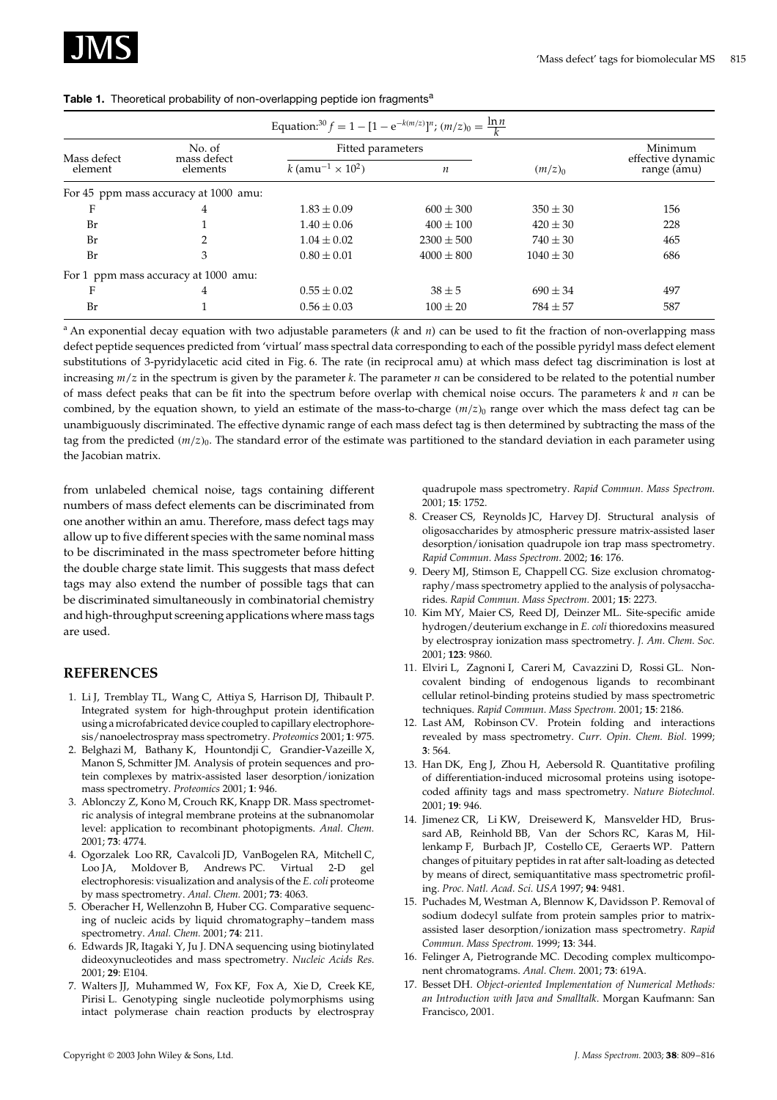

| Mass defect<br>element | No. of<br>mass defect<br>elements     | Equation: <sup>30</sup> $f = 1 - [1 - e^{-k(m/z)}]^n$ ; $(m/z)_0 = \frac{\ln n}{k}$<br>Fitted parameters |                |                    | Minimum                          |
|------------------------|---------------------------------------|----------------------------------------------------------------------------------------------------------|----------------|--------------------|----------------------------------|
|                        |                                       | <i>k</i> (amu <sup>-1</sup> $\times$ 10 <sup>2</sup> )                                                   | n              | (m/z) <sub>0</sub> | effective dynamic<br>range (amu) |
|                        | For 45 ppm mass accuracy at 1000 amu: |                                                                                                          |                |                    |                                  |
| F                      | 4                                     | $1.83 \pm 0.09$                                                                                          | $600 \pm 300$  | $350 \pm 30$       | 156                              |
| Br                     |                                       | $1.40 \pm 0.06$                                                                                          | $400 \pm 100$  | $420 \pm 30$       | 228                              |
| Br                     |                                       | $1.04 \pm 0.02$                                                                                          | $2300 \pm 500$ | $740 \pm 30$       | 465                              |
| Br                     | 3                                     | $0.80 \pm 0.01$                                                                                          | $4000 \pm 800$ | $1040 \pm 30$      | 686                              |
|                        | For 1 ppm mass accuracy at 1000 amu:  |                                                                                                          |                |                    |                                  |
| F                      | 4                                     | $0.55 \pm 0.02$                                                                                          | $38 \pm 5$     | $690 \pm 34$       | 497                              |
| Br                     |                                       | $0.56 \pm 0.03$                                                                                          | $100 \pm 20$   | $784 \pm 57$       | 587                              |

**Table 1.** Theoretical probability of non-overlapping peptide ion fragments<sup>a</sup>

<sup>a</sup> An exponential decay equation with two adjustable parameters (*k* and *n*) can be used to fit the fraction of non-overlapping mass defect peptide sequences predicted from 'virtual' mass spectral data corresponding to each of the possible pyridyl mass defect element substitutions of 3-pyridylacetic acid cited in Fig. 6. The rate (in reciprocal amu) at which mass defect tag discrimination is lost at increasing *m*/*z* in the spectrum is given by the parameter *k*. The parameter *n* can be considered to be related to the potential number of mass defect peaks that can be fit into the spectrum before overlap with chemical noise occurs. The parameters *k* and *n* can be combined, by the equation shown, to yield an estimate of the mass-to-charge  $(m/z)_0$  range over which the mass defect tag can be unambiguously discriminated. The effective dynamic range of each mass defect tag is then determined by subtracting the mass of the tag from the predicted (*m*/*z*)<sub>0</sub>. The standard error of the estimate was partitioned to the standard deviation in each parameter using the Jacobian matrix.

from unlabeled chemical noise, tags containing different numbers of mass defect elements can be discriminated from one another within an amu. Therefore, mass defect tags may allow up to five different species with the same nominal mass to be discriminated in the mass spectrometer before hitting the double charge state limit. This suggests that mass defect tags may also extend the number of possible tags that can be discriminated simultaneously in combinatorial chemistry and high-throughput screening applications where mass tags are used.

## **REFERENCES**

- 1. Li J, Tremblay TL, Wang C, Attiya S, Harrison DJ, Thibault P. Integrated system for high-throughput protein identification using a microfabricated device coupled to capillary electrophoresis/nanoelectrospray mass spectrometry. *Proteomics* 2001; **1**: 975.
- 2. Belghazi M, Bathany K, Hountondji C, Grandier-Vazeille X, Manon S, Schmitter JM. Analysis of protein sequences and protein complexes by matrix-assisted laser desorption/ionization mass spectrometry. *Proteomics* 2001; **1**: 946.
- 3. Ablonczy Z, Kono M, Crouch RK, Knapp DR. Mass spectrometric analysis of integral membrane proteins at the subnanomolar level: application to recombinant photopigments. *Anal. Chem.* 2001; **73**: 4774.
- 4. Ogorzalek Loo RR, Cavalcoli JD, VanBogelen RA, Mitchell C, Loo JA, Moldover B, Andrews PC. Virtual 2-D gel electrophoresis: visualization and analysis of the *E. coli* proteome by mass spectrometry. *Anal. Chem.* 2001; **73**: 4063.
- 5. Oberacher H, Wellenzohn B, Huber CG. Comparative sequencing of nucleic acids by liquid chromatography–tandem mass spectrometry. *Anal. Chem.* 2001; **74**: 211.
- 6. Edwards JR, Itagaki Y, Ju J. DNA sequencing using biotinylated dideoxynucleotides and mass spectrometry. *Nucleic Acids Res.* 2001; **29**: E104.
- 7. Walters JJ, Muhammed W, Fox KF, Fox A, Xie D, Creek KE, Pirisi L. Genotyping single nucleotide polymorphisms using intact polymerase chain reaction products by electrospray

quadrupole mass spectrometry. *Rapid Commun. Mass Spectrom.* 2001; **15**: 1752.

- 8. Creaser CS, Reynolds JC, Harvey DJ. Structural analysis of oligosaccharides by atmospheric pressure matrix-assisted laser desorption/ionisation quadrupole ion trap mass spectrometry. *Rapid Commun. Mass Spectrom.* 2002; **16**: 176.
- 9. Deery MJ, Stimson E, Chappell CG. Size exclusion chromatography/mass spectrometry applied to the analysis of polysaccharides. *Rapid Commun. Mass Spectrom.* 2001; **15**: 2273.
- 10. Kim MY, Maier CS, Reed DJ, Deinzer ML. Site-specific amide hydrogen/deuterium exchange in *E. coli* thioredoxins measured by electrospray ionization mass spectrometry. *J. Am. Chem. Soc.* 2001; **123**: 9860.
- 11. Elviri L, Zagnoni I, Careri M, Cavazzini D, Rossi GL. Noncovalent binding of endogenous ligands to recombinant cellular retinol-binding proteins studied by mass spectrometric techniques. *Rapid Commun. Mass Spectrom.* 2001; **15**: 2186.
- 12. Last AM, Robinson CV. Protein folding and interactions revealed by mass spectrometry. *Curr. Opin. Chem. Biol.* 1999; **3**: 564.
- 13. Han DK, Eng J, Zhou H, Aebersold R. Quantitative profiling of differentiation-induced microsomal proteins using isotopecoded affinity tags and mass spectrometry. *Nature Biotechnol.* 2001; **19**: 946.
- 14. Jimenez CR, Li KW, Dreisewerd K, Mansvelder HD, Brussard AB, Reinhold BB, Van der Schors RC, Karas M, Hillenkamp F, Burbach JP, Costello CE, Geraerts WP. Pattern changes of pituitary peptides in rat after salt-loading as detected by means of direct, semiquantitative mass spectrometric profiling. *Proc. Natl. Acad. Sci. USA* 1997; **94**: 9481.
- 15. Puchades M, Westman A, Blennow K, Davidsson P. Removal of sodium dodecyl sulfate from protein samples prior to matrixassisted laser desorption/ionization mass spectrometry. *Rapid Commun. Mass Spectrom.* 1999; **13**: 344.
- 16. Felinger A, Pietrogrande MC. Decoding complex multicomponent chromatograms. *Anal. Chem.* 2001; **73**: 619A.
- 17. Besset DH. *Object-oriented Implementation of Numerical Methods: an Introduction with Java and Smalltalk*. Morgan Kaufmann: San Francisco, 2001.